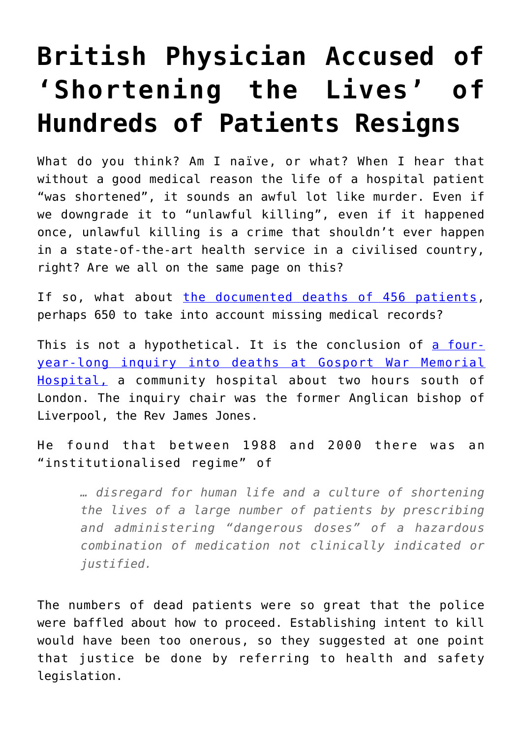## **[British Physician Accused of](https://intellectualtakeout.org/2018/06/british-physician-accused-of-shortening-the-lives-of-hundreds-of-patients-resigns/) ['Shortening the Lives' of](https://intellectualtakeout.org/2018/06/british-physician-accused-of-shortening-the-lives-of-hundreds-of-patients-resigns/) [Hundreds of Patients Resigns](https://intellectualtakeout.org/2018/06/british-physician-accused-of-shortening-the-lives-of-hundreds-of-patients-resigns/)**

What do you think? Am I naïve, or what? When I hear that without a good medical reason the life of a hospital patient "was shortened", it sounds an awful lot like murder. Even if we downgrade it to "unlawful killing", even if it happened once, unlawful killing is a crime that shouldn't ever happen in a state-of-the-art health service in a civilised country, right? Are we all on the same page on this?

If so, what about [the documented deaths of 456 patients,](https://www.theguardian.com/society/2018/jun/20/gosport-war-memorial-hospital-opioid-drugs-policy-inquiry) perhaps 650 to take into account missing medical records?

This is not a hypothetical. It is the conclusion of [a four](https://assets.publishing.service.gov.uk/government/uploads/system/uploads/attachment_data/file/226263/review_gosport_war_memorial_hospital.pdf)[year-long inquiry into deaths at Gosport War Memorial](https://assets.publishing.service.gov.uk/government/uploads/system/uploads/attachment_data/file/226263/review_gosport_war_memorial_hospital.pdf) [Hospital,](https://assets.publishing.service.gov.uk/government/uploads/system/uploads/attachment_data/file/226263/review_gosport_war_memorial_hospital.pdf) a community hospital about two hours south of London. The inquiry chair was the former Anglican bishop of Liverpool, the Rev James Jones.

He found that between 1988 and 2000 there was an "institutionalised regime" of

*… disregard for human life and a culture of shortening the lives of a large number of patients by prescribing and administering "dangerous doses" of a hazardous combination of medication not clinically indicated or justified.*

The numbers of dead patients were so great that the police were baffled about how to proceed. Establishing intent to kill would have been too onerous, so they suggested at one point that justice be done by referring to health and safety legislation.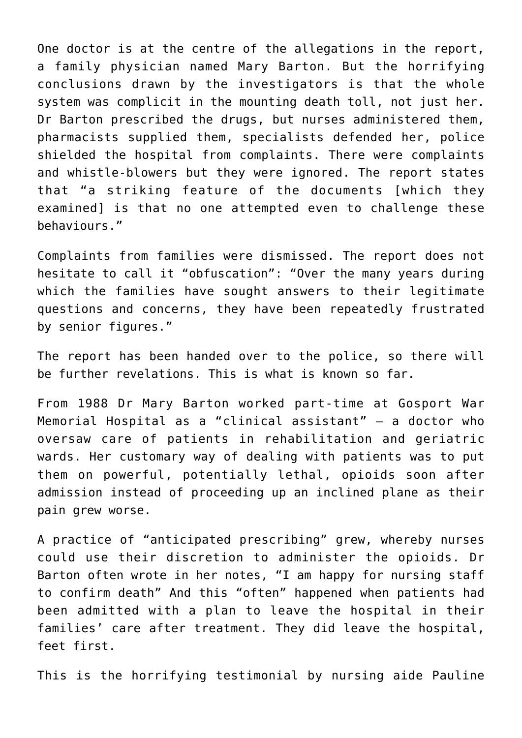One doctor is at the centre of the allegations in the report, a family physician named Mary Barton. But the horrifying conclusions drawn by the investigators is that the whole system was complicit in the mounting death toll, not just her. Dr Barton prescribed the drugs, but nurses administered them, pharmacists supplied them, specialists defended her, police shielded the hospital from complaints. There were complaints and whistle-blowers but they were ignored. The report states that "a striking feature of the documents [which they examined] is that no one attempted even to challenge these behaviours."

Complaints from families were dismissed. The report does not hesitate to call it "obfuscation": "Over the many years during which the families have sought answers to their legitimate questions and concerns, they have been repeatedly frustrated by senior figures."

The report has been handed over to the police, so there will be further revelations. This is what is known so far.

From 1988 Dr Mary Barton worked part-time at Gosport War Memorial Hospital as a "clinical assistant" – a doctor who oversaw care of patients in rehabilitation and geriatric wards. Her customary way of dealing with patients was to put them on powerful, potentially lethal, opioids soon after admission instead of proceeding up an inclined plane as their pain grew worse.

A practice of "anticipated prescribing" grew, whereby nurses could use their discretion to administer the opioids. Dr Barton often wrote in her notes, "I am happy for nursing staff to confirm death" And this "often" happened when patients had been admitted with a plan to leave the hospital in their families' care after treatment. They did leave the hospital, feet first.

This is the horrifying testimonial by nursing aide Pauline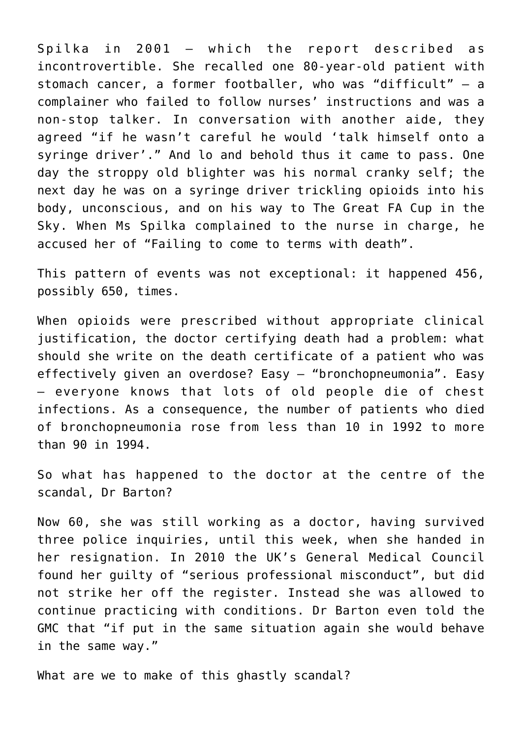Spilka in 2001 – which the report described as incontrovertible. She recalled one 80-year-old patient with stomach cancer, a former footballer, who was "difficult" – a complainer who failed to follow nurses' instructions and was a non-stop talker. In conversation with another aide, they agreed "if he wasn't careful he would 'talk himself onto a syringe driver'." And lo and behold thus it came to pass. One day the stroppy old blighter was his normal cranky self; the next day he was on a syringe driver trickling opioids into his body, unconscious, and on his way to The Great FA Cup in the Sky. When Ms Spilka complained to the nurse in charge, he accused her of "Failing to come to terms with death".

This pattern of events was not exceptional: it happened 456, possibly 650, times.

When opioids were prescribed without appropriate clinical justification, the doctor certifying death had a problem: what should she write on the death certificate of a patient who was effectively given an overdose? Easy – "bronchopneumonia". Easy – everyone knows that lots of old people die of chest infections. As a consequence, the number of patients who died of bronchopneumonia rose from less than 10 in 1992 to more than 90 in 1994.

So what has happened to the doctor at the centre of the scandal, Dr Barton?

Now 60, she was still working as a doctor, having survived three police inquiries, until this week, when she handed in her resignation. In 2010 the UK's General Medical Council found her guilty of "serious professional misconduct", but did not strike her off the register. Instead she was allowed to continue practicing with conditions. Dr Barton even told the GMC that "if put in the same situation again she would behave in the same way."

What are we to make of this ghastly scandal?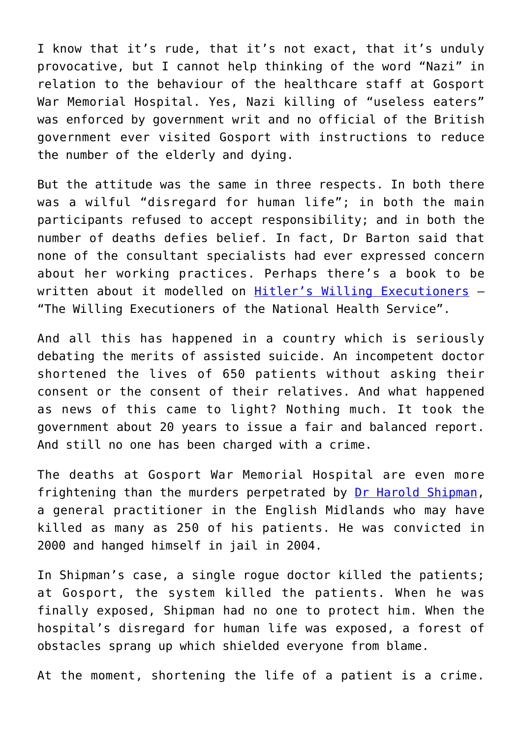I know that it's rude, that it's not exact, that it's unduly provocative, but I cannot help thinking of the word "Nazi" in relation to the behaviour of the healthcare staff at Gosport War Memorial Hospital. Yes, Nazi killing of "useless eaters" was enforced by government writ and no official of the British government ever visited Gosport with instructions to reduce the number of the elderly and dying.

But the attitude was the same in three respects. In both there was a wilful "disregard for human life"; in both the main participants refused to accept responsibility; and in both the number of deaths defies belief. In fact, Dr Barton said that none of the consultant specialists had ever expressed concern about her working practices. Perhaps there's a book to be written about it modelled on [Hitler's Willing Executioners](https://www.amazon.com/Hitlers-Willing-Executioners-Ordinary-Holocaust/dp/0679772685) – "The Willing Executioners of the National Health Service".

And all this has happened in a country which is seriously debating the merits of assisted suicide. An incompetent doctor shortened the lives of 650 patients without asking their consent or the consent of their relatives. And what happened as news of this came to light? Nothing much. It took the government about 20 years to issue a fair and balanced report. And still no one has been charged with a crime.

The deaths at Gosport War Memorial Hospital are even more frightening than the murders perpetrated by [Dr Harold Shipman,](https://en.wikipedia.org/wiki/Harold_Shipman) a general practitioner in the English Midlands who may have killed as many as 250 of his patients. He was convicted in 2000 and hanged himself in jail in 2004.

In Shipman's case, a single rogue doctor killed the patients; at Gosport, the system killed the patients. When he was finally exposed, Shipman had no one to protect him. When the hospital's disregard for human life was exposed, a forest of obstacles sprang up which shielded everyone from blame.

At the moment, shortening the life of a patient is a crime.